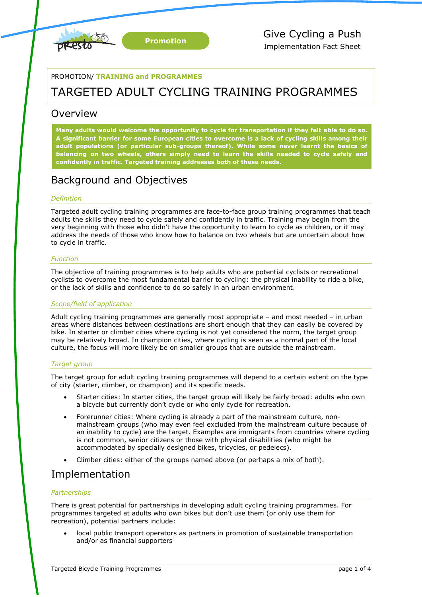

PROMOTION/ **TRAINING and PROGRAMMES**

# TARGETED ADULT CYCLING TRAINING PROGRAMMES

## Overview

**Many adults would welcome the opportunity to cycle for transportation if they felt able to do so. A significant barrier for some European cities to overcome is a lack of cycling skills among their adult populations (or particular sub-groups thereof). While some never learnt the basics of balancing on two wheels, others simply need to learn the skills needed to cycle safely and confidently in traffic. Targeted training addresses both of these needs.**

# Background and Objectives

### *Definition*

Targeted adult cycling training programmes are face-to-face group training programmes that teach adults the skills they need to cycle safely and confidently in traffic. Training may begin from the very beginning with those who didn't have the opportunity to learn to cycle as children, or it may address the needs of those who know how to balance on two wheels but are uncertain about how to cycle in traffic.

### *Function*

The objective of training programmes is to help adults who are potential cyclists or recreational cyclists to overcome the most fundamental barrier to cycling: the physical inability to ride a bike, or the lack of skills and confidence to do so safely in an urban environment.

### *Scope/field of application*

Adult cycling training programmes are generally most appropriate – and most needed – in urban areas where distances between destinations are short enough that they can easily be covered by bike. In starter or climber cities where cycling is not yet considered the norm, the target group may be relatively broad. In champion cities, where cycling is seen as a normal part of the local culture, the focus will more likely be on smaller groups that are outside the mainstream.

### *Target group*

The target group for adult cycling training programmes will depend to a certain extent on the type of city (starter, climber, or champion) and its specific needs.

- Starter cities: In starter cities, the target group will likely be fairly broad: adults who own a bicycle but currently don't cycle or who only cycle for recreation.
- Forerunner cities: Where cycling is already a part of the mainstream culture, nonmainstream groups (who may even feel excluded from the mainstream culture because of an inability to cycle) are the target. Examples are immigrants from countries where cycling is not common, senior citizens or those with physical disabilities (who might be accommodated by specially designed bikes, tricycles, or pedelecs).
- Climber cities: either of the groups named above (or perhaps a mix of both).

## Implementation

## *Partnerships*

There is great potential for partnerships in developing adult cycling training programmes. For programmes targeted at adults who own bikes but don't use them (or only use them for recreation), potential partners include:

 local public transport operators as partners in promotion of sustainable transportation and/or as financial supporters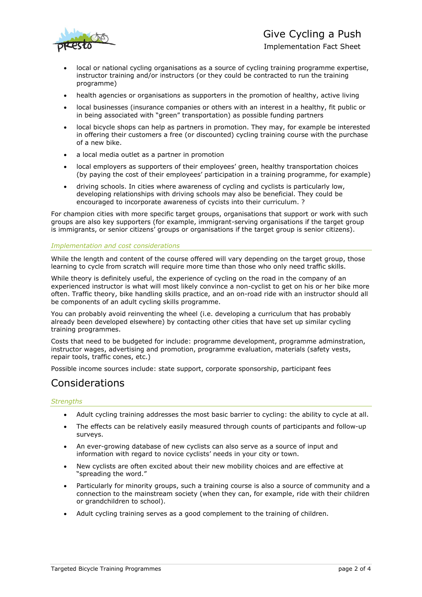

# Give Cycling a Push

Implementation Fact Sheet

- local or national cycling organisations as a source of cycling training programme expertise, instructor training and/or instructors (or they could be contracted to run the training programme)
- health agencies or organisations as supporters in the promotion of healthy, active living
- local businesses (insurance companies or others with an interest in a healthy, fit public or in being associated with "green" transportation) as possible funding partners
- local bicycle shops can help as partners in promotion. They may, for example be interested in offering their customers a free (or discounted) cycling training course with the purchase of a new bike.
- a local media outlet as a partner in promotion
- local employers as supporters of their employees' green, healthy transportation choices (by paying the cost of their employees' participation in a training programme, for example)
- driving schools. In cities where awareness of cycling and cyclists is particularly low, developing relationships with driving schools may also be beneficial. They could be encouraged to incorporate awareness of cycists into their curriculum. ?

For champion cities with more specific target groups, organisations that support or work with such groups are also key supporters (for example, immigrant-serving organisations if the target group is immigrants, or senior citizens' groups or organisations if the target group is senior citizens).

### *Implementation and cost considerations*

While the length and content of the course offered will vary depending on the target group, those learning to cycle from scratch will require more time than those who only need traffic skills.

While theory is definitely useful, the experience of cycling on the road in the company of an experienced instructor is what will most likely convince a non-cyclist to get on his or her bike more often. Traffic theory, bike handling skills practice, and an on-road ride with an instructor should all be components of an adult cycling skills programme.

You can probably avoid reinventing the wheel (i.e. developing a curriculum that has probably already been developed elsewhere) by contacting other cities that have set up similar cycling training programmes.

Costs that need to be budgeted for include: programme development, programme adminstration, instructor wages, advertising and promotion, programme evaluation, materials (safety vests, repair tools, traffic cones, etc.)

Possible income sources include: state support, corporate sponsorship, participant fees

# Considerations

### *Strengths*

- Adult cycling training addresses the most basic barrier to cycling: the ability to cycle at all.
- The effects can be relatively easily measured through counts of participants and follow-up surveys.
- An ever-growing database of new cyclists can also serve as a source of input and information with regard to novice cyclists' needs in your city or town.
- New cyclists are often excited about their new mobility choices and are effective at "spreading the word."
- Particularly for minority groups, such a training course is also a source of community and a connection to the mainstream society (when they can, for example, ride with their children or grandchildren to school).
- Adult cycling training serves as a good complement to the training of children.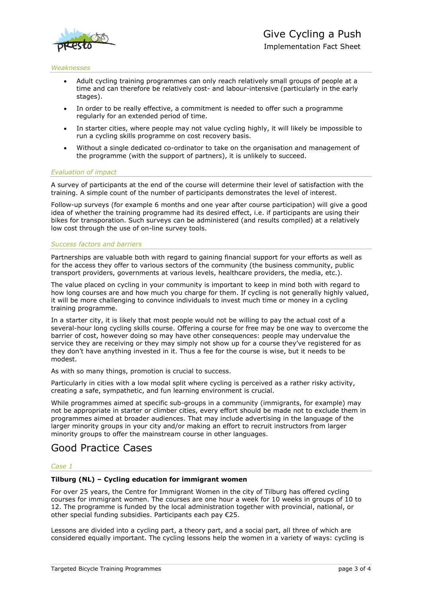

#### *Weaknesses*

- Adult cycling training programmes can only reach relatively small groups of people at a time and can therefore be relatively cost- and labour-intensive (particularly in the early stages).
- In order to be really effective, a commitment is needed to offer such a programme regularly for an extended period of time.
- In starter cities, where people may not value cycling highly, it will likely be impossible to run a cycling skills programme on cost recovery basis.
- Without a single dedicated co-ordinator to take on the organisation and management of the programme (with the support of partners), it is unlikely to succeed.

### *Evaluation of impact*

A survey of participants at the end of the course will determine their level of satisfaction with the training. A simple count of the number of participants demonstrates the level of interest.

Follow-up surveys (for example 6 months and one year after course participation) will give a good idea of whether the training programme had its desired effect, i.e. if participants are using their bikes for transporation. Such surveys can be administered (and results compiled) at a relatively low cost through the use of on-line survey tools.

#### *Success factors and barriers*

Partnerships are valuable both with regard to gaining financial support for your efforts as well as for the access they offer to various sectors of the community (the business community, public transport providers, governments at various levels, healthcare providers, the media, etc.).

The value placed on cycling in your community is important to keep in mind both with regard to how long courses are and how much you charge for them. If cycling is not generally highly valued, it will be more challenging to convince individuals to invest much time or money in a cycling training programme.

In a starter city, it is likely that most people would not be willing to pay the actual cost of a several-hour long cycling skills course. Offering a course for free may be one way to overcome the barrier of cost, however doing so may have other consequences: people may undervalue the service they are receiving or they may simply not show up for a course they've registered for as they don't have anything invested in it. Thus a fee for the course is wise, but it needs to be modest.

As with so many things, promotion is crucial to success.

Particularly in cities with a low modal split where cycling is perceived as a rather risky activity, creating a safe, sympathetic, and fun learning environment is crucial.

While programmes aimed at specific sub-groups in a community (immigrants, for example) may not be appropriate in starter or climber cities, every effort should be made not to exclude them in programmes aimed at broader audiences. That may include advertising in the language of the larger minority groups in your city and/or making an effort to recruit instructors from larger minority groups to offer the mainstream course in other languages.

## Good Practice Cases

#### *Case 1*

#### **Tilburg (NL) – Cycling education for immigrant women**

For over 25 years, the Centre for Immigrant Women in the city of Tilburg has offered cycling courses for immigrant women. The courses are one hour a week for 10 weeks in groups of 10 to 12. The programme is funded by the local administration together with provincial, national, or other special funding subsidies. Participants each pay €25.

Lessons are divided into a cycling part, a theory part, and a social part, all three of which are considered equally important. The cycling lessons help the women in a variety of ways: cycling is